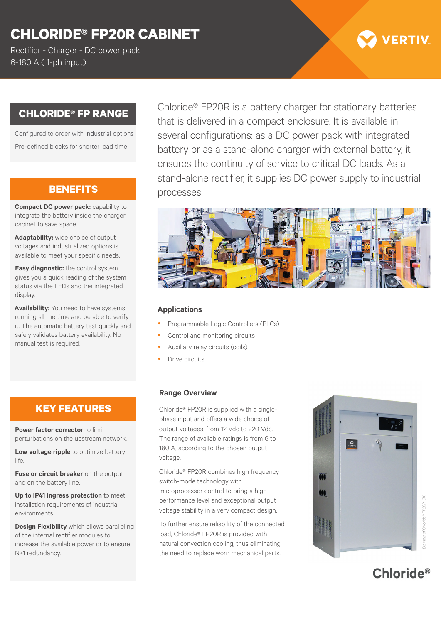# **CHLORIDE® FP20R CABINET**

Rectifier - Charger - DC power pack 6-180 A ( 1-ph input)

# **CHLORIDE® FP RANGE**

Configured to order with industrial options Pre-defined blocks for shorter lead time

# **BENEFITS**

**Compact DC power pack:** capability to integrate the battery inside the charger cabinet to save space.

**Adaptability:** wide choice of output voltages and industrialized options is available to meet your specific needs.

**Easy diagnostic:** the control system gives you a quick reading of the system status via the LEDs and the integrated display.

**Availability:** You need to have systems running all the time and be able to verify it. The automatic battery test quickly and safely validates battery availability. No manual test is required.

# **KEY FEATURES**

**Power factor corrector** to limit perturbations on the upstream network.

**Low voltage ripple** to optimize battery life.

**Fuse or circuit breaker** on the output and on the battery line.

**Up to IP41 ingress protection** to meet installation requirements of industrial environments.

**Design Flexibility** which allows paralleling of the internal rectifier modules to increase the available power or to ensure N+1 redundancy.

Chloride® FP20R is a battery charger for stationary batteries that is delivered in a compact enclosure. It is available in several configurations: as a DC power pack with integrated battery or as a stand-alone charger with external battery, it ensures the continuity of service to critical DC loads. As a stand-alone rectifier, it supplies DC power supply to industrial processes.

### **Applications**

- Programmable Logic Controllers (PLCs)
- Control and monitoring circuits
- Auxiliary relay circuits (coils)
- Drive circuits

#### **Range Overview**

Chloride® FP20R is supplied with a singlephase input and offers a wide choice of output voltages, from 12 Vdc to 220 Vdc. The range of available ratings is from 6 to 180 A, according to the chosen output voltage.

Chloride® FP20R combines high frequency switch-mode technology with microprocessor control to bring a high performance level and exceptional output voltage stability in a very compact design.

To further ensure reliability of the connected load, Chloride® FP20R is provided with natural convection cooling, thus eliminating the need to replace worn mechanical parts.



*Example of Chloride® FP20R-CK* ple of Chloride® FP20R-CK

**Chloride®** 

**VERTIV**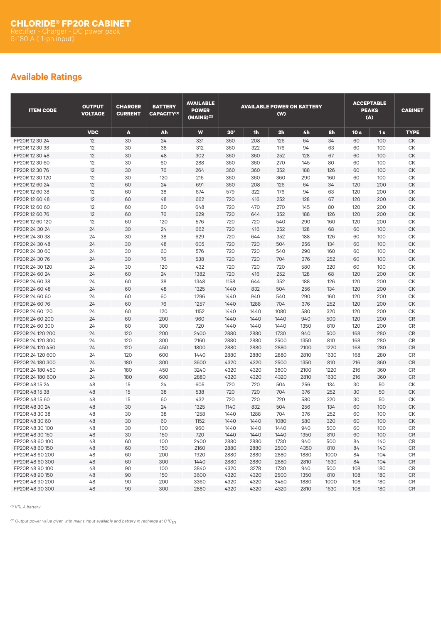# **Available Ratings**

| <b>ITEM CODE</b>                   | <b>OUTPUT</b><br><b>VOLTAGE</b> | <b>CHARGER</b><br><b>CURRENT</b> | <b>BATTERY</b><br><b>CAPACITY(1)</b> | <b>AVAILABLE</b><br><b>POWER</b><br>(MAINS) <sup>(2)</sup> |              |              | <b>AVAILABLE POWER ON BATTERY</b><br>(W) |                |              |                 | <b>ACCEPTABLE</b><br><b>PEAKS</b><br>(A) | <b>CABINET</b> |
|------------------------------------|---------------------------------|----------------------------------|--------------------------------------|------------------------------------------------------------|--------------|--------------|------------------------------------------|----------------|--------------|-----------------|------------------------------------------|----------------|
|                                    | <b>VDC</b>                      | A                                | Ah                                   | W                                                          | 30'          | <b>1h</b>    | 2 <sub>h</sub>                           | 4 <sub>h</sub> | 8h           | 10 <sub>s</sub> | 1s                                       | <b>TYPE</b>    |
| FP20R 12 30 24                     | 12                              | 30                               | 24                                   | 331                                                        | 360          | 208          | 126                                      | 64             | 34           | 60              | 100                                      | <b>CK</b>      |
| FP20R 12 30 38                     | 12                              | 30                               | 38                                   | 312                                                        | 360          | 322          | 176                                      | 94             | 63           | 60              | 100                                      | СK             |
| FP20R 12 30 48                     | 12                              | 30                               | 48                                   | 302                                                        | 360          | 360          | 252                                      | 128            | 67           | 60              | 100                                      | <b>CK</b>      |
| FP20R 12 30 60                     | 12                              | 30                               | 60                                   | 288                                                        | 360          | 360          | 270                                      | 145            | 80           | 60              | 100                                      | СK             |
| FP20R 12 30 76                     | 12                              | 30                               | 76                                   | 264                                                        | 360          | 360          | 352                                      | 188            | 126          | 60              | 100                                      | СK             |
| FP20R 12 30 120                    | 12                              | 30                               | 120                                  | 216                                                        | 360          | 360          | 360                                      | 290            | 160          | 60              | 100                                      | СK             |
| FP20R 12 60 24                     | 12                              | 60                               | 24                                   | 691                                                        | 360          | 208          | 126                                      | 64             | 34           | 120             | 200                                      | <b>CK</b>      |
| FP20R 12 60 38                     | 12                              | 60                               | 38                                   | 674                                                        | 579          | 322          | 176                                      | 94             | 63           | 120             | 200                                      | СK             |
| FP20R 12 60 48                     | 12                              | 60                               | 48                                   | 662                                                        | 720          | 416          | 252                                      | 128            | 67           | 120             | 200                                      | CK             |
| FP20R 12 60 60                     | 12                              | 60                               | 60                                   | 648                                                        | 720          | 470          | 270                                      | 145            | 80           | 120             | 200                                      | СK             |
| FP20R 12 60 76                     | 12                              | 60                               | 76                                   | 629                                                        | 720          | 644          | 352                                      | 188            | 126          | 120             | 200                                      | <b>CK</b>      |
| FP20R 12 60 120                    | 12                              | 60                               | 120                                  | 576                                                        | 720          | 720          | 540                                      | 290            | 160          | 120             | 200                                      | СK             |
| FP20R 24 30 24                     | 24                              | 30                               | 24                                   | 662                                                        | 720          | 416          | 252                                      | 128            | 68           | 60              | 100                                      | <b>CK</b>      |
| FP20R 24 30 38                     | 24                              | 30                               | 38                                   | 629                                                        | 720          | 644          | 352                                      | 188            | 126          | 60              | 100                                      | СK             |
| FP20R 24 30 48                     | 24                              | 30                               | 48                                   | 605                                                        | 720          | 720          | 504                                      | 256            | 134          | 60              | 100                                      | <b>CK</b>      |
| FP20R 24 30 60                     | 24                              | 30                               | 60                                   | 576                                                        | 720          | 720          | 540                                      | 290            | 160          | 60              | 100                                      | СK             |
| FP20R 24 30 76                     | 24                              | 30                               | 76                                   | 538                                                        | 720          | 720          | 704                                      | 376            | 252          | 60              | 100                                      | <b>CK</b>      |
| FP20R 24 30 120                    | 24                              | 30                               | 120                                  | 432                                                        | 720          | 720          | 720                                      | 580            | 320          | 60              | 100                                      | СK             |
| FP20R 24 60 24                     | 24                              | 60                               | 24                                   | 1382                                                       | 720          | 416          | 252                                      | 128            | 68           | 120             | 200                                      | СK             |
| FP20R 24 60 38                     | 24                              | 60                               | 38                                   | 1348                                                       | 1158         | 644          | 352                                      | 188            | 126          | 120             | 200                                      | СK             |
| FP20R 24 60 48                     | 24                              | 60                               | 48                                   | 1325                                                       | 1440         | 832          | 504                                      | 256            | 134          | 120             | 200                                      | CK             |
| FP20R 24 60 60                     | 24                              | 60                               | 60                                   | 1296                                                       | 1440         | 940          | 540                                      | 290            | 160          | 120             | 200                                      | СK             |
| FP20R 24 60 76                     | 24                              | 60                               | 76                                   | 1257                                                       | 1440         | 1288         | 704                                      | 376            | 252          | 120             | 200                                      | СK             |
| FP20R 24 60 120                    | 24                              | 60                               | 120                                  | 1152                                                       | 1440         | 1440         | 1080                                     | 580            | 320          | 120             | 200                                      | СK             |
| FP20R 24 60 200                    | 24                              | 60                               | 200                                  | 960                                                        | 1440         | 1440         | 1440                                     | 940            | 500          | 120             | 200                                      | ${\sf CR}$     |
| FP20R 24 60 300                    | 24                              | 60                               | 300                                  | 720                                                        | 1440         | 1440         | 1440                                     | 1350           | 810          | 120             | 200                                      | CR             |
| FP20R 24 120 200                   | 24                              | 120                              | 200                                  | 2400                                                       | 2880         | 2880         | 1730                                     | 940            | 500          | 168             | 280                                      | <b>CR</b>      |
| FP20R 24 120 300                   | 24                              | 120                              | 300                                  | 2160                                                       | 2880         | 2880         | 2500                                     | 1350           | 810          | 168             | 280                                      | <b>CR</b>      |
| FP20R 24 120 450                   | 24                              | 120                              | 450                                  | 1800                                                       | 2880         | 2880         | 2880                                     | 2100           | 1220         | 168             | 280                                      | <b>CR</b>      |
| FP20R 24 120 600                   | 24                              | 120                              | 600                                  | 1440                                                       | 2880         | 2880         | 2880                                     | 2810           | 1630         | 168             | 280                                      | <b>CR</b>      |
| FP20R 24 180 300                   | 24                              | 180                              | 300                                  | 3600                                                       | 4320         | 4320         | 2500                                     | 1350           | 810          | 216             | 360                                      | CR             |
| FP20R 24 180 450                   | 24                              | 180                              | 450                                  | 3240                                                       | 4320         | 4320         | 3800                                     | 2100           | 1220         | 216             | 360                                      | <b>CR</b>      |
| FP20R 24 180 600                   | 24                              | 180                              | 600                                  | 2880                                                       | 4320         | 4320         | 4320                                     | 2810           | 1630         | 216             | 360                                      | <b>CR</b>      |
| FP20R 48 15 24                     | 48                              | 15                               | 24                                   | 605                                                        | 720          | 720          | 504                                      | 256            | 134          | 30              | 50                                       | СK             |
| FP20R 48 15 38                     | 48                              | 15                               | 38                                   | 538                                                        | 720          | 720          | 704                                      | 376            | 252          | 30              | 50                                       | <b>CK</b>      |
| FP20R 48 15 60                     | 48                              | 15                               | 60                                   | 432                                                        | 720          | 720          | 720                                      | 580            | 320          | 30              | 50                                       | СK             |
| FP20R 48 30 24                     | 48                              | 30                               | 24                                   | 1325                                                       | 1140         | 832          | 504                                      | 256            | 134          | 60              | 100                                      | <b>CK</b>      |
| FP20R 48 30 38                     | 48                              | 30                               | 38                                   | 1258                                                       | 1440         | 1288         | 704                                      | 376            | 252          | 60              | 100                                      | СK             |
| FP20R 48 30 60                     | 48                              | 30                               | 60                                   | 1152                                                       | 1440         | 1440         | 1080                                     | 580            | 320          | 60              | 100                                      | <b>CK</b>      |
| FP20R 48 30 100                    | 48                              | 30                               | 100                                  | 960                                                        | 1440         | 1440         | 1440                                     | 940            | 500          | 60              | 100                                      | CR             |
| FP20R 48 30 150                    | 48                              | 30                               | 150                                  | 720                                                        | 1440         | 1440         | 1440                                     | 1350           | 810          | 60              | 100                                      | CR             |
| FP20R 48 60 100<br>FP20R 48 60 150 | 48                              | 60                               | 100                                  | 2400                                                       | 2880         | 2880         | 1730                                     | 940            | 500          | 84              | 140                                      | $\mathsf{CR}$  |
| FP20R 48 60 200                    | 48                              | 60                               | 150                                  | 2160<br>1920                                               | 2880         | 2880<br>2880 | 2500                                     | 4350<br>1880   | 810          | 84              | 140                                      | CR<br>CR       |
| FP20R 48 60 300                    | 48<br>48                        | 60<br>60                         | 200<br>300                           | 1440                                                       | 2880<br>2880 | 2880         | 2880<br>2880                             | 2810           | 1000<br>1630 | 84<br>84        | 104<br>104                               | CR             |
| FP20R 48 90 100                    | 48                              | 90                               | 100                                  | 3840                                                       | 4320         | 3278         | 1730                                     | 940            | 500          | 108             | 180                                      | CR             |
| FP20R 48 90 150                    | 48                              | 90                               | 150                                  | 3600                                                       | 4320         | 4320         | 2500                                     | 1350           | 810          | 108             | 180                                      | CR             |
| FP20R 48 90 200                    | 48                              | 90                               | 200                                  | 3360                                                       | 4320         | 4320         | 3450                                     | 1880           | 1000         | 108             | 180                                      | CR             |
| FP20R 48 90 300                    | 48                              | 90                               | 300                                  | 2880                                                       | 4320         | 4320         | 4320                                     | 2810           | 1630         | 108             | 180                                      | CR             |

*(1) VRLA battery*

*(2) Output power value given with mains input available and battery in recharge at 0.1C10*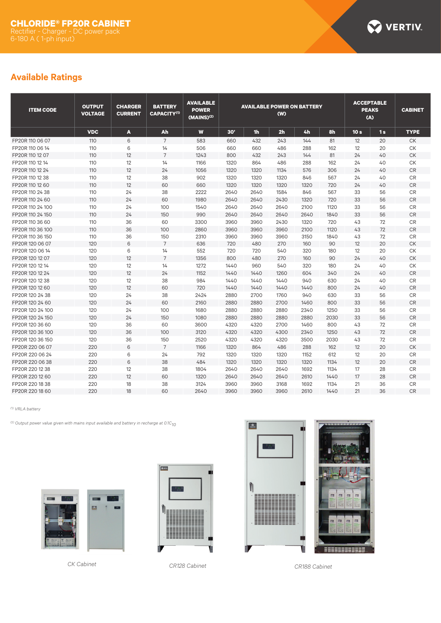

# **Available Ratings**

| <b>ITEM CODE</b> | <b>OUTPUT</b><br><b>VOLTAGE</b> | <b>CHARGER</b><br><b>CURRENT</b> | <b>BATTERY</b><br><b>CAPACITY(1)</b> | <b>AVAILABLE</b><br><b>POWER</b><br>(MAINS) <sup>(2)</sup> | <b>AVAILABLE POWER ON BATTERY</b><br>(W) |      |                |      | <b>ACCEPTABLE</b><br><b>PEAKS</b><br>(A) |                 | <b>CABINET</b> |                  |
|------------------|---------------------------------|----------------------------------|--------------------------------------|------------------------------------------------------------|------------------------------------------|------|----------------|------|------------------------------------------|-----------------|----------------|------------------|
|                  | <b>VDC</b>                      | A                                | Ah                                   | W                                                          | 30'                                      | 1h   | 2 <sub>h</sub> | 4h   | 8h                                       | 10 <sub>s</sub> | 1s             | <b>TYPE</b>      |
| FP20R 110 06 07  | 110                             | 6                                | $\overline{7}$                       | 583                                                        | 660                                      | 432  | 243            | 144  | 81                                       | 12              | 20             | <b>CK</b>        |
| FP20R 110 06 14  | 110                             | 6                                | 14                                   | 506                                                        | 660                                      | 660  | 486            | 288  | 162                                      | 12              | 20             | СK               |
| FP20R 110 12 07  | 110                             | 12                               | $\overline{7}$                       | 1243                                                       | 800                                      | 432  | 243            | 144  | 81                                       | 24              | 40             | ${\sf C}{\sf K}$ |
| FP20R 110 12 14  | 110                             | 12                               | 14                                   | 1166                                                       | 1320                                     | 864  | 486            | 288  | 162                                      | 24              | 40             | СK               |
| FP20R 110 12 24  | 110                             | 12                               | 24                                   | 1056                                                       | 1320                                     | 1320 | 1134           | 576  | 306                                      | 24              | 40             | ${\sf CR}$       |
| FP20R 110 12 38  | 110                             | 12                               | 38                                   | 902                                                        | 1320                                     | 1320 | 1320           | 846  | 567                                      | 24              | 40             | CR               |
| FP20R 110 12 60  | 110                             | 12                               | 60                                   | 660                                                        | 1320                                     | 1320 | 1320           | 1320 | 720                                      | 24              | 40             | ${\sf CR}$       |
| FP20R 110 24 38  | 110                             | 24                               | 38                                   | 2222                                                       | 2640                                     | 2640 | 1584           | 846  | 567                                      | 33              | 56             | CR               |
| FP20R 110 24 60  | 110                             | 24                               | 60                                   | 1980                                                       | 2640                                     | 2640 | 2430           | 1320 | 720                                      | 33              | 56             | <b>CR</b>        |
| FP20R 110 24 100 | 110                             | 24                               | 100                                  | 1540                                                       | 2640                                     | 2640 | 2640           | 2100 | 1120                                     | 33              | 56             | <b>CR</b>        |
| FP20R 110 24 150 | 110                             | 24                               | 150                                  | 990                                                        | 2640                                     | 2640 | 2640           | 2640 | 1840                                     | 33              | 56             | $\mathsf{CR}$    |
| FP20R 110 36 60  | 110                             | 36                               | 60                                   | 3300                                                       | 3960                                     | 3960 | 2430           | 1320 | 720                                      | 43              | 72             | <b>CR</b>        |
| FP20R 110 36 100 | 110                             | 36                               | 100                                  | 2860                                                       | 3960                                     | 3960 | 3960           | 2100 | 1120                                     | 43              | 72             | ${\sf CR}$       |
| FP20R 110 36 150 | 110                             | 36                               | 150                                  | 2310                                                       | 3960                                     | 3960 | 3960           | 3150 | 1840                                     | 43              | 72             | CR               |
| FP20R 120 06 07  | 120                             | 6                                | $\overline{7}$                       | 636                                                        | 720                                      | 480  | 270            | 160  | 90                                       | 12              | 20             | <b>CK</b>        |
| FP20R 120 06 14  | 120                             | 6                                | 14                                   | 552                                                        | 720                                      | 720  | 540            | 320  | 180                                      | 12              | 20             | СK               |
| FP20R 120 12 07  | 120                             | 12                               | $\overline{7}$                       | 1356                                                       | 800                                      | 480  | 270            | 160  | 90                                       | 24              | 40             | <b>CK</b>        |
| FP20R 120 12 14  | 120                             | 12                               | 14                                   | 1272                                                       | 1440                                     | 960  | 540            | 320  | 180                                      | 24              | 40             | СK               |
| FP20R 120 12 24  | 120                             | 12                               | 24                                   | 1152                                                       | 1440                                     | 1440 | 1260           | 604  | 340                                      | 24              | 40             | CR               |
| FP20R 120 12 38  | 120                             | 12                               | 38                                   | 984                                                        | 1440                                     | 1440 | 1440           | 940  | 630                                      | 24              | 40             | <b>CR</b>        |
| FP20R 120 12 60  | 120                             | 12                               | 60                                   | 720                                                        | 1440                                     | 1440 | 1440           | 1440 | 800                                      | 24              | 40             | <b>CR</b>        |
| FP20R 120 24 38  | 120                             | 24                               | 38                                   | 2424                                                       | 2880                                     | 2700 | 1760           | 940  | 630                                      | 33              | 56             | <b>CR</b>        |
| FP20R 120 24 60  | 120                             | 24                               | 60                                   | 2160                                                       | 2880                                     | 2880 | 2700           | 1460 | 800                                      | 33              | 56             | <b>CR</b>        |
| FP20R 120 24 100 | 120                             | 24                               | 100                                  | 1680                                                       | 2880                                     | 2880 | 2880           | 2340 | 1250                                     | 33              | 56             | <b>CR</b>        |
| FP20R 120 24 150 | 120                             | 24                               | 150                                  | 1080                                                       | 2880                                     | 2880 | 2880           | 2880 | 2030                                     | 33              | 56             | <b>CR</b>        |
| FP20R 120 36 60  | 120                             | 36                               | 60                                   | 3600                                                       | 4320                                     | 4320 | 2700           | 1460 | 800                                      | 43              | 72             | CR               |
| FP20R 120 36 100 | 120                             | 36                               | 100                                  | 3120                                                       | 4320                                     | 4320 | 4300           | 2340 | 1250                                     | 43              | 72             | <b>CR</b>        |
| FP20R 120 36 150 | 120                             | 36                               | 150                                  | 2520                                                       | 4320                                     | 4320 | 4320           | 3500 | 2030                                     | 43              | 72             | $\mathsf{CR}$    |
| FP20R 220 06 07  | 220                             | 6                                | $\overline{7}$                       | 1166                                                       | 1320                                     | 864  | 486            | 288  | 162                                      | 12              | 20             | <b>CK</b>        |
| FP20R 220 06 24  | 220                             | 6                                | 24                                   | 792                                                        | 1320                                     | 1320 | 1320           | 1152 | 612                                      | 12              | 20             | <b>CR</b>        |
| FP20R 220 06 38  | 220                             | 6                                | 38                                   | 484                                                        | 1320                                     | 1320 | 1320           | 1320 | 1134                                     | 12              | 20             | <b>CR</b>        |
| FP20R 220 12 38  | 220                             | 12                               | 38                                   | 1804                                                       | 2640                                     | 2640 | 2640           | 1692 | 1134                                     | 17              | 28             | CR               |
| FP20R 220 12 60  | 220                             | 12                               | 60                                   | 1320                                                       | 2640                                     | 2640 | 2640           | 2610 | 1440                                     | 17              | 28             | <b>CR</b>        |
| FP20R 220 18 38  | 220                             | 18                               | 38                                   | 3124                                                       | 3960                                     | 3960 | 3168           | 1692 | 1134                                     | 21              | 36             | <b>CR</b>        |
| FP20R 220 18 60  | 220                             | 18                               | 60                                   | 2640                                                       | 3960                                     | 3960 | 3960           | 2610 | 1440                                     | 21              | 36             | <b>CR</b>        |

*(1) VRLA battery*

*(2) Output power value given with mains input available and battery in recharge at 0.1C10*